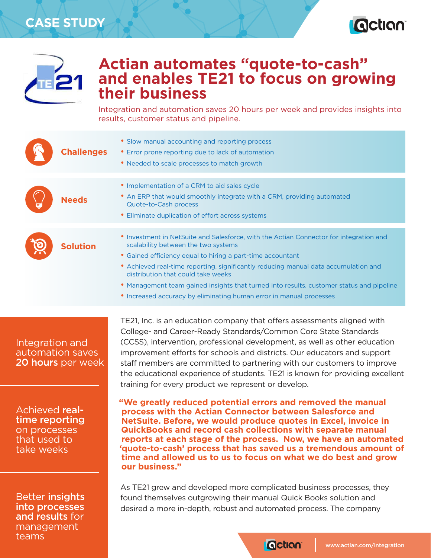## **CASE STUDY**





## **Actian automates "quote-to-cash" and enables TE21 to focus on growing their business**

Integration and automation saves 20 hours per week and provides insights into results, customer status and pipeline.

| <b>Challenges</b>                                                              | • Slow manual accounting and reporting process<br>• Error prone reporting due to lack of automation<br>• Needed to scale processes to match growth                                                                                                                                                                                                                                                                                                                                                                      |
|--------------------------------------------------------------------------------|-------------------------------------------------------------------------------------------------------------------------------------------------------------------------------------------------------------------------------------------------------------------------------------------------------------------------------------------------------------------------------------------------------------------------------------------------------------------------------------------------------------------------|
| <b>Needs</b>                                                                   | • Implementation of a CRM to aid sales cycle<br>• An ERP that would smoothly integrate with a CRM, providing automated<br>Quote-to-Cash process<br>• Eliminate duplication of effort across systems                                                                                                                                                                                                                                                                                                                     |
| <b>Solution</b>                                                                | • Investment in NetSuite and Salesforce, with the Actian Connector for integration and<br>scalability between the two systems<br>• Gained efficiency equal to hiring a part-time accountant<br>• Achieved real-time reporting, significantly reducing manual data accumulation and<br>distribution that could take weeks<br>• Management team gained insights that turned into results, customer status and pipeline<br>• Increased accuracy by eliminating human error in manual processes                             |
| <b>Integration and</b><br>automation saves<br><b>20 hours</b> per week         | TE21, Inc. is an education company that offers assessments aligned with<br>College- and Career-Ready Standards/Common Core State Standards<br>(CCSS), intervention, professional development, as well as other education<br>improvement efforts for schools and districts. Our educators and support<br>staff members are committed to partnering with our customers to improve<br>the educational experience of students. TE21 is known for providing excellent<br>training for every product we represent or develop. |
| Achieved real-<br>time reporting<br>on processes<br>that used to<br>take weeks | "We greatly reduced potential errors and removed the manual<br>process with the Actian Connector between Salesforce and<br>NetSuite. Before, we would produce quotes in Excel, invoice in<br><b>QuickBooks and record cash collections with separate manual</b><br>reports at each stage of the process. Now, we have an automated<br>'quote-to-cash' process that has saved us a tremendous amount of<br>time and allowed us to us to focus on what we do best and grow<br>our business."                              |
| Better insights<br>into processes<br>and results for<br>management<br>teams    | As TE21 grew and developed more complicated business processes, they<br>found themselves outgrowing their manual Quick Books solution and<br>desired a more in-depth, robust and automated process. The company                                                                                                                                                                                                                                                                                                         |
|                                                                                | <b>Qction</b><br>www.actian.com/integration                                                                                                                                                                                                                                                                                                                                                                                                                                                                             |